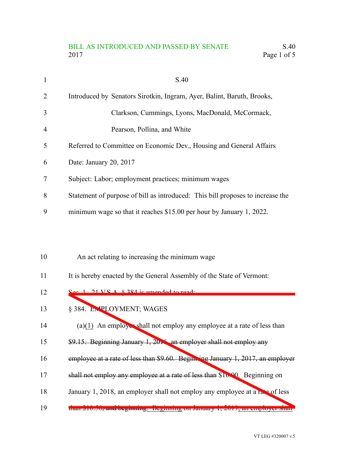## BILL AS INTRODUCED AND PASSED BY SENATE S.40 2017 Page 1 of 5

| 1  | S.40                                                                           |
|----|--------------------------------------------------------------------------------|
| 2  | Introduced by Senators Sirotkin, Ingram, Ayer, Balint, Baruth, Brooks,         |
| 3  | Clarkson, Cummings, Lyons, MacDonald, McCormack,                               |
| 4  | Pearson, Pollina, and White                                                    |
| 5  | Referred to Committee on Economic Dev., Housing and General Affairs            |
| 6  | Date: January 20, 2017                                                         |
| 7  | Subject: Labor; employment practices; minimum wages                            |
| 8  | Statement of purpose of bill as introduced: This bill proposes to increase the |
| 9  | minimum wage so that it reaches \$15.00 per hour by January 1, 2022.           |
|    |                                                                                |
|    |                                                                                |
| 10 | An act relating to increasing the minimum wage                                 |
| 11 | It is hereby enacted by the General Assembly of the State of Vermont:          |
| 12 | $\frac{666}{1}$ 21 V $\frac{8224}{10}$ is amended to read.                     |
| 13 | § 384. EN PLOYMENT; WAGES                                                      |

- (a)(1) An employer shall not employ any employee at a rate of less than 14
- \$9.15. Beginning January 1, 2016, an employer shall not employ any 15
- employee at a rate of less than \$9.60. Beginning January 1, 2017, an employer 16
- shall not employ any employee at a rate of less than \$10.00. Beginning on 17
- January 1, 2018, an employer shall not employ any employee at a rate of less 18
- than \$10.50, and beginning. Beginning on January 1, 2019, an employer shall 19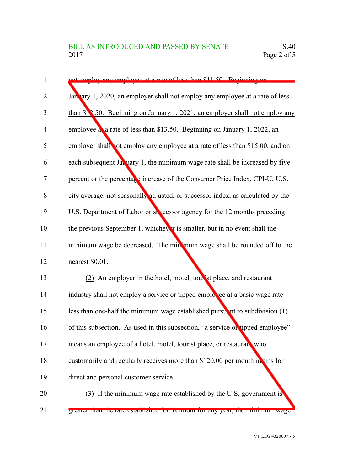| not employ any employee at a rate of less than \$11.50. Beginning on                     |
|------------------------------------------------------------------------------------------|
| January 1, 2020, an employer shall not employ any employee at a rate of less             |
| than $\S$ 3.50. Beginning on January 1, 2021, an employer shall not employ any           |
| employee a a rate of less than \$13.50. Beginning on January 1, 2022, an                 |
| employer shall not employ any employee at a rate of less than \$15.00, and on            |
| each subsequent January 1, the minimum wage rate shall be increased by five              |
| percent or the percenta <sub>g</sub> e increase of the Consumer Price Index, CPI-U, U.S. |
| city average, not seasonally adjusted, or successor index, as calculated by the          |
| U.S. Department of Labor or successor agency for the 12 months preceding                 |
| the previous September 1, whichever is smaller, but in no event shall the                |
| minimum wage be decreased. The minimum wage shall be rounded off to the                  |
| nearest \$0.01.                                                                          |
| (2) An employer in the hotel, motel, tour ist place, and restaurant                      |
| industry shall not employ a service or tipped employee at a basic wage rate              |
| less than one-half the minimum wage established pursuant to subdivision $(1)$            |
| of this subsection. As used in this subsection, "a service of tipped employee"           |
| means an employee of a hotel, motel, tourist place, or restaurant who                    |
| customarily and regularly receives more than \$120.00 per month in tips for              |
| direct and personal customer service.                                                    |
| (3) If the minimum wage rate established by the U.S. government is                       |
| greater man the rate established for vermont for any year, the minimum wage              |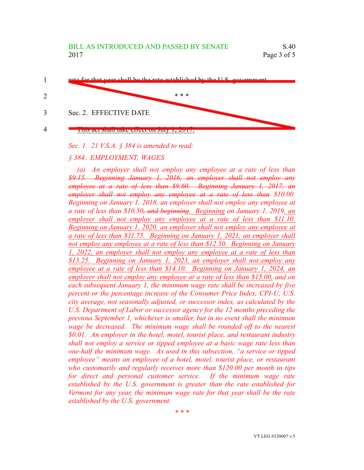

*Sec. 1. 21 V.S.A. § 384 is amended to read:*

## *§ 384. EMPLOYMENT; WAGES*

*(a) An employer shall not employ any employee at a rate of less than \$9.15. Beginning January 1, 2016, an employer shall not employ any employee at a rate of less than \$9.60. Beginning January 1, 2017, an employer shall not employ any employee at a rate of less than \$10.00. Beginning on January 1, 2018, an employer shall not employ any employee at a rate of less than \$10.50, and beginning. Beginning on January 1, 2019, an employer shall not employ any employee at a rate of less than \$11.10. Beginning on January 1, 2020, an employer shall not employ any employee at a rate of less than \$11.75. Beginning on January 1, 2021, an employer shall not employ any employee at a rate of less than \$12.50. Beginning on January 1, 2022, an employer shall not employ any employee at a rate of less than \$13.25. Beginning on January 1, 2023, an employer shall not employ any employee at a rate of less than \$14.10. Beginning on January 1, 2024, an employer shall not employ any employee at a rate of less than \$15.00, and on each subsequent January 1, the minimum wage rate shall be increased by five percent or the percentage increase of the Consumer Price Index, CPI-U, U.S. city average, not seasonally adjusted, or successor index, as calculated by the U.S. Department of Labor or successor agency for the 12 months preceding the previous September 1, whichever is smaller, but in no event shall the minimum wage be decreased. The minimum wage shall be rounded off to the nearest \$0.01. An employer in the hotel, motel, tourist place, and restaurant industry shall not employ a service or tipped employee at a basic wage rate less than one-half the minimum wage. As used in this subsection, "a service or tipped employee" means an employee of a hotel, motel, tourist place, or restaurant who customarily and regularly receives more than \$120.00 per month in tips for direct and personal customer service. If the minimum wage rate established by the U.S. government is greater than the rate established for Vermont for any year, the minimum wage rate for that year shall be the rate established by the U.S. government.*

*\* \* \**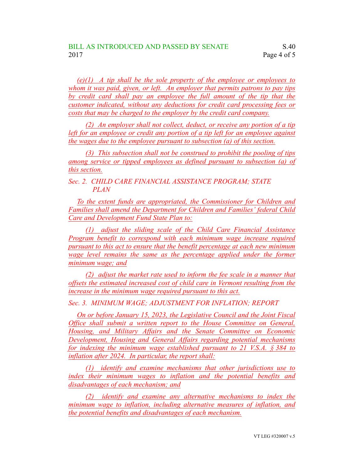*(e)(1) A tip shall be the sole property of the employee or employees to whom it was paid, given, or left. An employer that permits patrons to pay tips by credit card shall pay an employee the full amount of the tip that the customer indicated, without any deductions for credit card processing fees or costs that may be charged to the employer by the credit card company.*

*(2) An employer shall not collect, deduct, or receive any portion of a tip left for an employee or credit any portion of a tip left for an employee against the wages due to the employee pursuant to subsection (a) of this section.*

*(3) This subsection shall not be construed to prohibit the pooling of tips among service or tipped employees as defined pursuant to subsection (a) of this section.*

*Sec. 2. CHILD CARE FINANCIAL ASSISTANCE PROGRAM; STATE PLAN*

*To the extent funds are appropriated, the Commissioner for Children and Families shall amend the Department for Children and Families' federal Child Care and Development Fund State Plan to:*

*(1) adjust the sliding scale of the Child Care Financial Assistance Program benefit to correspond with each minimum wage increase required pursuant to this act to ensure that the benefit percentage at each new minimum wage level remains the same as the percentage applied under the former minimum wage; and*

*(2) adjust the market rate used to inform the fee scale in a manner that offsets the estimated increased cost of child care in Vermont resulting from the increase in the minimum wage required pursuant to this act.*

*Sec. 3. MINIMUM WAGE; ADJUSTMENT FOR INFLATION; REPORT*

*On or before January 15, 2023, the Legislative Council and the Joint Fiscal Office shall submit a written report to the House Committee on General, Housing, and Military Affairs and the Senate Committee on Economic Development, Housing and General Affairs regarding potential mechanisms for indexing the minimum wage established pursuant to 21 V.S.A. § 384 to inflation after 2024. In particular, the report shall:*

*(1) identify and examine mechanisms that other jurisdictions use to index their minimum wages to inflation and the potential benefits and disadvantages of each mechanism; and*

*(2) identify and examine any alternative mechanisms to index the minimum wage to inflation, including alternative measures of inflation, and the potential benefits and disadvantages of each mechanism.*